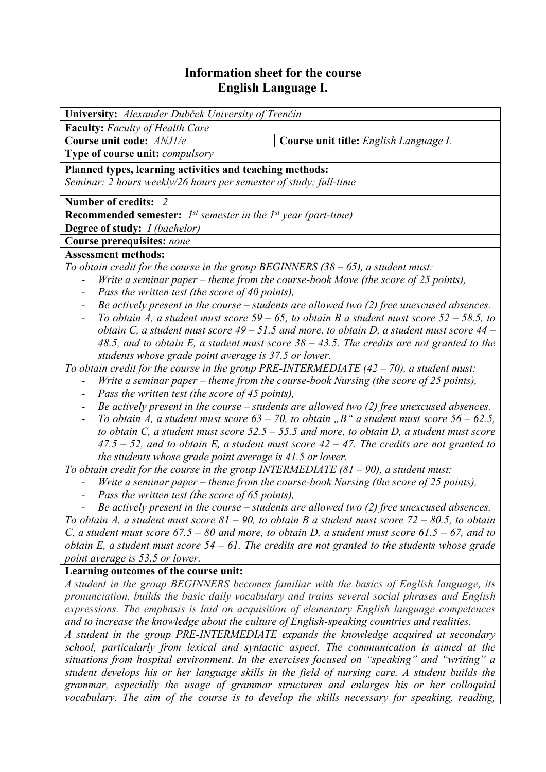# **Information sheet for the course English Language I.**

| University: Alexander Dubček University of Trenčín                                                                                                                                                         |                                                                                                |  |  |  |  |  |
|------------------------------------------------------------------------------------------------------------------------------------------------------------------------------------------------------------|------------------------------------------------------------------------------------------------|--|--|--|--|--|
| <b>Faculty:</b> Faculty of Health Care                                                                                                                                                                     |                                                                                                |  |  |  |  |  |
| Course unit code: ANJ1/e                                                                                                                                                                                   | Course unit title: English Language I.                                                         |  |  |  |  |  |
| Type of course unit: compulsory                                                                                                                                                                            |                                                                                                |  |  |  |  |  |
| Planned types, learning activities and teaching methods:                                                                                                                                                   |                                                                                                |  |  |  |  |  |
| Seminar: 2 hours weekly/26 hours per semester of study; full-time                                                                                                                                          |                                                                                                |  |  |  |  |  |
| Number of credits: 2                                                                                                                                                                                       |                                                                                                |  |  |  |  |  |
| <b>Recommended semester:</b> $I^{st}$ semester in the $I^{st}$ year (part-time)                                                                                                                            |                                                                                                |  |  |  |  |  |
| <b>Degree of study:</b> <i>I (bachelor)</i>                                                                                                                                                                |                                                                                                |  |  |  |  |  |
| <b>Course prerequisites: none</b>                                                                                                                                                                          |                                                                                                |  |  |  |  |  |
| <b>Assessment methods:</b>                                                                                                                                                                                 |                                                                                                |  |  |  |  |  |
| To obtain credit for the course in the group BEGINNERS $(38 - 65)$ , a student must:                                                                                                                       |                                                                                                |  |  |  |  |  |
| Write a seminar paper – theme from the course-book Move (the score of 25 points),                                                                                                                          |                                                                                                |  |  |  |  |  |
| Pass the written test (the score of 40 points),                                                                                                                                                            |                                                                                                |  |  |  |  |  |
|                                                                                                                                                                                                            | Be actively present in the course $-$ students are allowed two (2) free unexcused absences.    |  |  |  |  |  |
| To obtain A, a student must score $59 - 65$ , to obtain B a student must score $52 - 58.5$ , to<br>$\qquad \qquad \blacksquare$                                                                            |                                                                                                |  |  |  |  |  |
| obtain C, a student must score $49 - 51.5$ and more, to obtain D, a student must score $44 -$                                                                                                              |                                                                                                |  |  |  |  |  |
| 48.5, and to obtain E, a student must score $38 - 43.5$ . The credits are not granted to the                                                                                                               |                                                                                                |  |  |  |  |  |
| students whose grade point average is 37.5 or lower.<br>To obtain credit for the course in the group PRE-INTERMEDIATE $(42 - 70)$ , a student must:                                                        |                                                                                                |  |  |  |  |  |
|                                                                                                                                                                                                            |                                                                                                |  |  |  |  |  |
| Write a seminar paper – theme from the course-book Nursing (the score of 25 points),<br>Pass the written test (the score of 45 points),<br>$\overline{\phantom{0}}$                                        |                                                                                                |  |  |  |  |  |
| Be actively present in the course $-$ students are allowed two (2) free unexcused absences.<br>$\qquad \qquad \blacksquare$                                                                                |                                                                                                |  |  |  |  |  |
|                                                                                                                                                                                                            | To obtain A, a student must score $63 - 70$ , to obtain, B" a student must score $56 - 62.5$ , |  |  |  |  |  |
|                                                                                                                                                                                                            | to obtain C, a student must score $52.5 - 55.5$ and more, to obtain D, a student must score    |  |  |  |  |  |
|                                                                                                                                                                                                            | $47.5 - 52$ , and to obtain E, a student must score $42 - 47$ . The credits are not granted to |  |  |  |  |  |
| the students whose grade point average is 41.5 or lower.                                                                                                                                                   |                                                                                                |  |  |  |  |  |
| To obtain credit for the course in the group INTERMEDIATE $(81 - 90)$ , a student must:                                                                                                                    |                                                                                                |  |  |  |  |  |
| Write a seminar paper – theme from the course-book Nursing (the score of $25$ points),                                                                                                                     |                                                                                                |  |  |  |  |  |
| Pass the written test (the score of 65 points),                                                                                                                                                            |                                                                                                |  |  |  |  |  |
| Be actively present in the course $-$ students are allowed two (2) free unexcused absences.                                                                                                                |                                                                                                |  |  |  |  |  |
| To obtain A, a student must score $81 - 90$ , to obtain B a student must score $72 - 80.5$ , to obtain                                                                                                     |                                                                                                |  |  |  |  |  |
| C, a student must score $67.5 - 80$ and more, to obtain D, a student must score $61.5 - 67$ , and to<br>obtain E, a student must score $54 - 61$ . The credits are not granted to the students whose grade |                                                                                                |  |  |  |  |  |
| point average is 53.5 or lower.                                                                                                                                                                            |                                                                                                |  |  |  |  |  |
| Learning outcomes of the course unit:                                                                                                                                                                      |                                                                                                |  |  |  |  |  |
|                                                                                                                                                                                                            | A student in the group BEGINNERS becomes familiar with the basics of English language, its     |  |  |  |  |  |
| pronunciation, builds the basic daily vocabulary and trains several social phrases and English                                                                                                             |                                                                                                |  |  |  |  |  |
| expressions. The emphasis is laid on acquisition of elementary English language competences                                                                                                                |                                                                                                |  |  |  |  |  |
| and to increase the knowledge about the culture of English-speaking countries and realities.                                                                                                               |                                                                                                |  |  |  |  |  |
| A student in the group PRE-INTERMEDIATE expands the knowledge acquired at secondary                                                                                                                        |                                                                                                |  |  |  |  |  |
| school, particularly from lexical and syntactic aspect. The communication is aimed at the                                                                                                                  |                                                                                                |  |  |  |  |  |
| situations from hospital environment. In the exercises focused on "speaking" and "writing" a                                                                                                               |                                                                                                |  |  |  |  |  |
| student develops his or her language skills in the field of nursing care. A student builds the                                                                                                             |                                                                                                |  |  |  |  |  |
|                                                                                                                                                                                                            | grammar, especially the usage of grammar structures and enlarges his or her colloquial         |  |  |  |  |  |
| vocabulary. The aim of the course is to develop the skills necessary for speaking, reading,                                                                                                                |                                                                                                |  |  |  |  |  |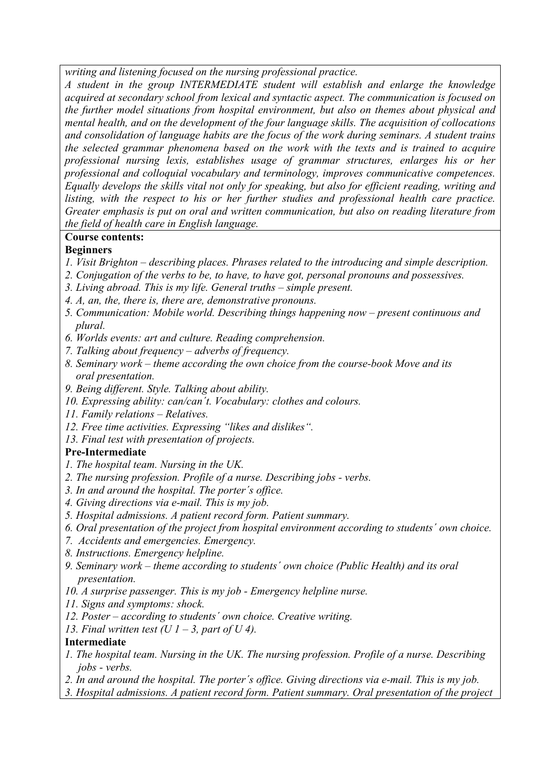*writing and listening focused on the nursing professional practice.* 

*A student in the group INTERMEDIATE student will establish and enlarge the knowledge acquired at secondary school from lexical and syntactic aspect. The communication is focused on the further model situations from hospital environment, but also on themes about physical and mental health, and on the development of the four language skills. The acquisition of collocations and consolidation of language habits are the focus of the work during seminars. A student trains the selected grammar phenomena based on the work with the texts and is trained to acquire professional nursing lexis, establishes usage of grammar structures, enlarges his or her professional and colloquial vocabulary and terminology, improves communicative competences. Equally develops the skills vital not only for speaking, but also for efficient reading, writing and listing, with the respect to his or her further studies and professional health care practice. Greater emphasis is put on oral and written communication, but also on reading literature from the field of health care in English language.* 

## **Course contents:**

### **Beginners**

- *1. Visit Brighton describing places. Phrases related to the introducing and simple description.*
- *2. Conjugation of the verbs to be, to have, to have got, personal pronouns and possessives.*
- *3. Living abroad. This is my life. General truths simple present.*
- *4. A, an, the, there is, there are, demonstrative pronouns.*
- *5. Communication: Mobile world. Describing things happening now present continuous and plural.*
- *6. Worlds events: art and culture. Reading comprehension.*
- *7. Talking about frequency adverbs of frequency.*
- *8. Seminary work theme according the own choice from the course-book Move and its oral presentation.*
- *9. Being different. Style. Talking about ability.*
- *10. Expressing ability: can/can´t. Vocabulary: clothes and colours.*
- *11. Family relations Relatives.*
- *12. Free time activities. Expressing "likes and dislikes".*
- *13. Final test with presentation of projects.*

#### **Pre-Intermediate**

- *1. The hospital team. Nursing in the UK.*
- *2. The nursing profession. Profile of a nurse. Describing jobs verbs.*
- *3. In and around the hospital. The porter´s office.*
- *4. Giving directions via e-mail. This is my job.*
- *5. Hospital admissions. A patient record form. Patient summary.*
- *6. Oral presentation of the project from hospital environment according to students´ own choice.*
- *7. Accidents and emergencies. Emergency.*
- *8. Instructions. Emergency helpline.*
- *9. Seminary work theme according to students´ own choice (Public Health) and its oral presentation.*
- *10. A surprise passenger. This is my job Emergency helpline nurse.*
- *11. Signs and symptoms: shock.*
- *12. Poster according to students´ own choice. Creative writing.*
- *13. Final written test (U 1 3, part of U 4).*

#### **Intermediate**

- *1. The hospital team. Nursing in the UK. The nursing profession. Profile of a nurse. Describing jobs - verbs.*
- *2. In and around the hospital. The porter´s office. Giving directions via e-mail. This is my job.*
- *3. Hospital admissions. A patient record form. Patient summary. Oral presentation of the project*